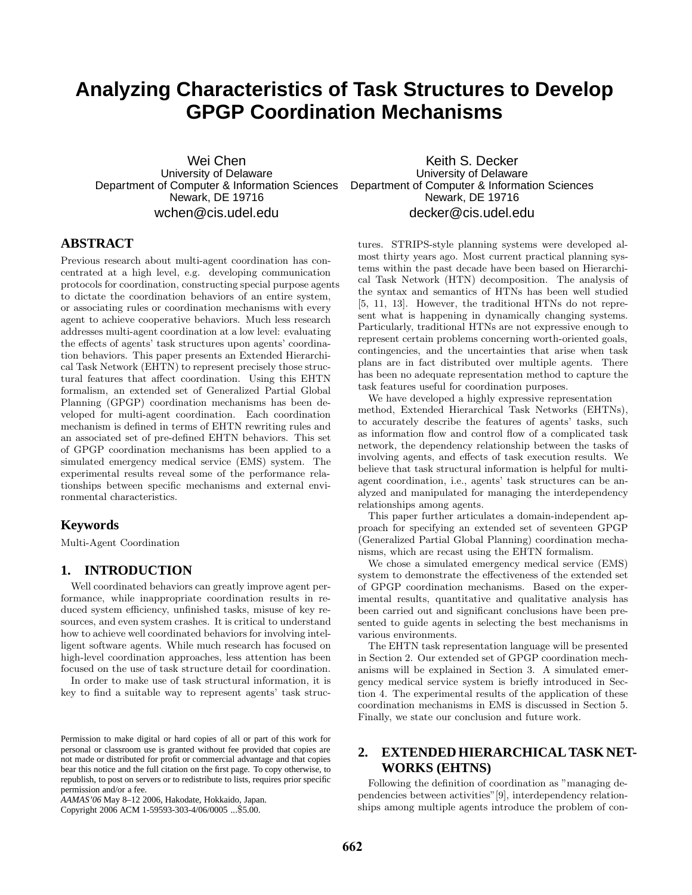# **Analyzing Characteristics of Task Structures to Develop GPGP Coordination Mechanisms**

Wei Chen University of Delaware Department of Computer & Information Sciences Newark, DE 19716 wchen@cis.udel.edu

## **ABSTRACT**

Previous research about multi-agent coordination has concentrated at a high level, e.g. developing communication protocols for coordination, constructing special purpose agents to dictate the coordination behaviors of an entire system, or associating rules or coordination mechanisms with every agent to achieve cooperative behaviors. Much less research addresses multi-agent coordination at a low level: evaluating the effects of agents' task structures upon agents' coordination behaviors. This paper presents an Extended Hierarchical Task Network (EHTN) to represent precisely those structural features that affect coordination. Using this EHTN formalism, an extended set of Generalized Partial Global Planning (GPGP) coordination mechanisms has been developed for multi-agent coordination. Each coordination mechanism is defined in terms of EHTN rewriting rules and an associated set of pre-defined EHTN behaviors. This set of GPGP coordination mechanisms has been applied to a simulated emergency medical service (EMS) system. The experimental results reveal some of the performance relationships between specific mechanisms and external environmental characteristics.

#### **Keywords**

Multi-Agent Coordination

#### **1. INTRODUCTION**

Well coordinated behaviors can greatly improve agent performance, while inappropriate coordination results in reduced system efficiency, unfinished tasks, misuse of key resources, and even system crashes. It is critical to understand how to achieve well coordinated behaviors for involving intelligent software agents. While much research has focused on high-level coordination approaches, less attention has been focused on the use of task structure detail for coordination.

In order to make use of task structural information, it is key to find a suitable way to represent agents' task struc-

Copyright 2006 ACM 1-59593-303-4/06/0005 ...\$5.00.

Keith S. Decker University of Delaware Department of Computer & Information Sciences Newark, DE 19716 decker@cis.udel.edu

tures. STRIPS-style planning systems were developed almost thirty years ago. Most current practical planning systems within the past decade have been based on Hierarchical Task Network (HTN) decomposition. The analysis of the syntax and semantics of HTNs has been well studied [5, 11, 13]. However, the traditional HTNs do not represent what is happening in dynamically changing systems. Particularly, traditional HTNs are not expressive enough to represent certain problems concerning worth-oriented goals, contingencies, and the uncertainties that arise when task plans are in fact distributed over multiple agents. There has been no adequate representation method to capture the task features useful for coordination purposes.

We have developed a highly expressive representation method, Extended Hierarchical Task Networks (EHTNs), to accurately describe the features of agents' tasks, such as information flow and control flow of a complicated task network, the dependency relationship between the tasks of involving agents, and effects of task execution results. We believe that task structural information is helpful for multiagent coordination, i.e., agents' task structures can be analyzed and manipulated for managing the interdependency relationships among agents.

This paper further articulates a domain-independent approach for specifying an extended set of seventeen GPGP (Generalized Partial Global Planning) coordination mechanisms, which are recast using the EHTN formalism.

We chose a simulated emergency medical service (EMS) system to demonstrate the effectiveness of the extended set of GPGP coordination mechanisms. Based on the experimental results, quantitative and qualitative analysis has been carried out and significant conclusions have been presented to guide agents in selecting the best mechanisms in various environments.

The EHTN task representation language will be presented in Section 2. Our extended set of GPGP coordination mechanisms will be explained in Section 3. A simulated emergency medical service system is briefly introduced in Section 4. The experimental results of the application of these coordination mechanisms in EMS is discussed in Section 5. Finally, we state our conclusion and future work.

## **2. EXTENDED HIERARCHICAL TASK NET-WORKS (EHTNS)**

Following the definition of coordination as "managing dependencies between activities"[9], interdependency relationships among multiple agents introduce the problem of con-

Permission to make digital or hard copies of all or part of this work for personal or classroom use is granted without fee provided that copies are not made or distributed for profit or commercial advantage and that copies bear this notice and the full citation on the first page. To copy otherwise, to republish, to post on servers or to redistribute to lists, requires prior specific permission and/or a fee.

*AAMAS'06* May 8–12 2006, Hakodate, Hokkaido, Japan.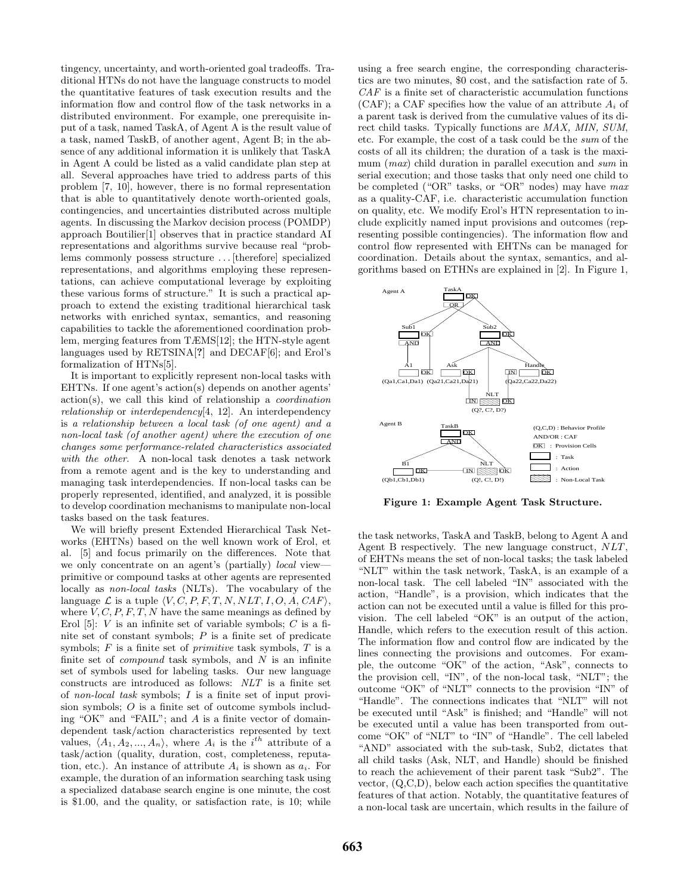tingency, uncertainty, and worth-oriented goal tradeoffs. Traditional HTNs do not have the language constructs to model the quantitative features of task execution results and the information flow and control flow of the task networks in a distributed environment. For example, one prerequisite input of a task, named TaskA, of Agent A is the result value of a task, named TaskB, of another agent, Agent B; in the absence of any additional information it is unlikely that TaskA in Agent A could be listed as a valid candidate plan step at all. Several approaches have tried to address parts of this problem [7, 10], however, there is no formal representation that is able to quantitatively denote worth-oriented goals, contingencies, and uncertainties distributed across multiple agents. In discussing the Markov decision process (POMDP) approach Boutilier[1] observes that in practice standard AI representations and algorithms survive because real "problems commonly possess structure . . . [therefore] specialized representations, and algorithms employing these representations, can achieve computational leverage by exploiting these various forms of structure." It is such a practical approach to extend the existing traditional hierarchical task networks with enriched syntax, semantics, and reasoning capabilities to tackle the aforementioned coordination problem, merging features from TÆMS[12]; the HTN-style agent languages used by RETSINA[**?**] and DECAF[6]; and Erol's formalization of HTNs[5].

It is important to explicitly represent non-local tasks with EHTNs. If one agent's action(s) depends on another agents' action(s), we call this kind of relationship a coordination  $relationship$  or  $interdependency[4, 12]$ . An interdependency is a relationship between a local task (of one agent) and a non-local task (of another agent) where the execution of one changes some performance-related characteristics associated with the other. A non-local task denotes a task network from a remote agent and is the key to understanding and managing task interdependencies. If non-local tasks can be properly represented, identified, and analyzed, it is possible to develop coordination mechanisms to manipulate non-local tasks based on the task features.

We will briefly present Extended Hierarchical Task Networks (EHTNs) based on the well known work of Erol, et al. [5] and focus primarily on the differences. Note that we only concentrate on an agent's (partially) *local* viewprimitive or compound tasks at other agents are represented locally as non-local tasks (NLTs). The vocabulary of the language  $\mathcal L$  is a tuple  $\langle V, C, P, F, T, N, NLT, I, O, A, CAF \rangle$ , where  $V, C, P, F, T, N$  have the same meanings as defined by Erol  $[5]$ : *V* is an infinite set of variable symbols; *C* is a finite set of constant symbols; P is a finite set of predicate symbols;  $F$  is a finite set of *primitive* task symbols,  $T$  is a finite set of *compound* task symbols, and  $N$  is an infinite set of symbols used for labeling tasks. Our new language constructs are introduced as follows: NLT is a finite set of non-local task symbols; I is a finite set of input provision symbols; O is a finite set of outcome symbols including "OK" and "FAIL"; and A is a finite vector of domaindependent task/action characteristics represented by text values,  $\langle A_1, A_2, ..., A_n \rangle$ , where  $A_i$  is the i<sup>th</sup> attribute of a task/action (quality, duration, cost, completeness, reputation, etc.). An instance of attribute  $A_i$  is shown as  $a_i$ . For example, the duration of an information searching task using a specialized database search engine is one minute, the cost is \$1.00, and the quality, or satisfaction rate, is 10; while

using a free search engine, the corresponding characteristics are two minutes, \$0 cost, and the satisfaction rate of 5.  $CAF$  is a finite set of characteristic accumulation functions (CAF); a CAF specifies how the value of an attribute  $A_i$  of a parent task is derived from the cumulative values of its direct child tasks. Typically functions are MAX, MIN, SUM, etc. For example, the cost of a task could be the sum of the costs of all its children; the duration of a task is the maximum (max) child duration in parallel execution and sum in serial execution; and those tasks that only need one child to be completed ("OR" tasks, or "OR" nodes) may have max as a quality-CAF, i.e. characteristic accumulation function on quality, etc. We modify Erol's HTN representation to include explicitly named input provisions and outcomes (representing possible contingencies). The information flow and control flow represented with EHTNs can be managed for coordination. Details about the syntax, semantics, and algorithms based on ETHNs are explained in [2]. In Figure 1,



**Figure 1: Example Agent Task Structure.**

the task networks, TaskA and TaskB, belong to Agent A and Agent B respectively. The new language construct, NLT, of EHTNs means the set of non-local tasks; the task labeled "NLT" within the task network, TaskA, is an example of a non-local task. The cell labeled "IN" associated with the action, "Handle", is a provision, which indicates that the action can not be executed until a value is filled for this provision. The cell labeled "OK" is an output of the action, Handle, which refers to the execution result of this action. The information flow and control flow are indicated by the lines connecting the provisions and outcomes. For example, the outcome "OK" of the action, "Ask", connects to the provision cell, "IN", of the non-local task, "NLT"; the outcome "OK" of "NLT" connects to the provision "IN" of "Handle". The connections indicates that "NLT" will not be executed until "Ask" is finished; and "Handle" will not be executed until a value has been transported from outcome "OK" of "NLT" to "IN" of "Handle". The cell labeled "AND" associated with the sub-task, Sub2, dictates that all child tasks (Ask, NLT, and Handle) should be finished to reach the achievement of their parent task "Sub2". The vector,  $(Q, C, D)$ , below each action specifies the quantitative features of that action. Notably, the quantitative features of a non-local task are uncertain, which results in the failure of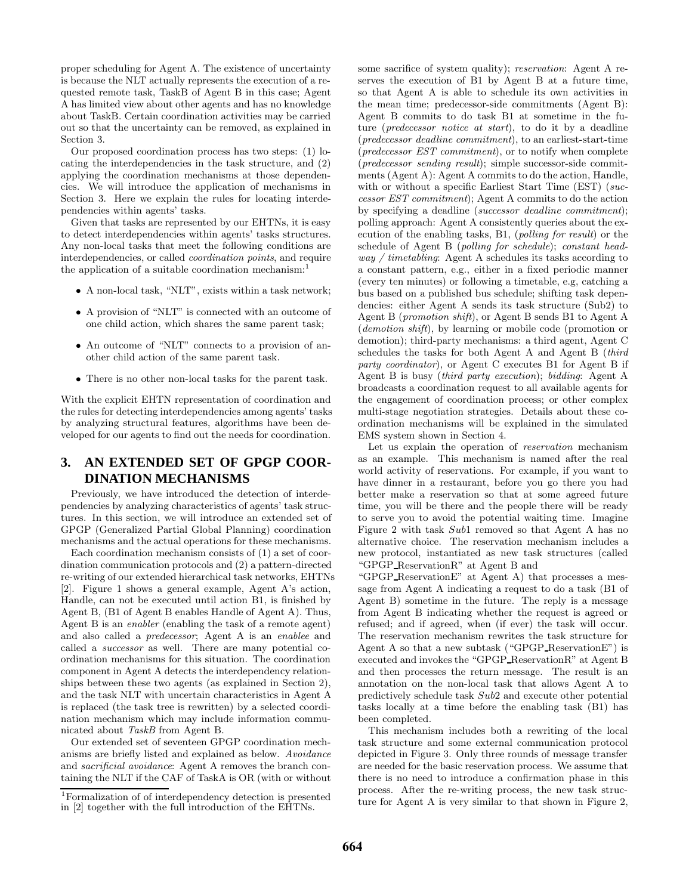proper scheduling for Agent A. The existence of uncertainty is because the NLT actually represents the execution of a requested remote task, TaskB of Agent B in this case; Agent A has limited view about other agents and has no knowledge about TaskB. Certain coordination activities may be carried out so that the uncertainty can be removed, as explained in Section 3.

Our proposed coordination process has two steps: (1) locating the interdependencies in the task structure, and (2) applying the coordination mechanisms at those dependencies. We will introduce the application of mechanisms in Section 3. Here we explain the rules for locating interdependencies within agents' tasks.

Given that tasks are represented by our EHTNs, it is easy to detect interdependencies within agents' tasks structures. Any non-local tasks that meet the following conditions are interdependencies, or called coordination points, and require the application of a suitable coordination mechanism:

- A non-local task, "NLT", exists within a task network;
- A provision of "NLT" is connected with an outcome of one child action, which shares the same parent task;
- An outcome of "NLT" connects to a provision of another child action of the same parent task.
- There is no other non-local tasks for the parent task.

With the explicit EHTN representation of coordination and the rules for detecting interdependencies among agents' tasks by analyzing structural features, algorithms have been developed for our agents to find out the needs for coordination.

## **3. AN EXTENDED SET OF GPGP COOR-DINATION MECHANISMS**

Previously, we have introduced the detection of interdependencies by analyzing characteristics of agents' task structures. In this section, we will introduce an extended set of GPGP (Generalized Partial Global Planning) coordination mechanisms and the actual operations for these mechanisms.

Each coordination mechanism consists of (1) a set of coordination communication protocols and (2) a pattern-directed re-writing of our extended hierarchical task networks, EHTNs [2]. Figure 1 shows a general example, Agent A's action, Handle, can not be executed until action B1, is finished by Agent B, (B1 of Agent B enables Handle of Agent A). Thus, Agent B is an enabler (enabling the task of a remote agent) and also called a predecessor; Agent A is an enablee and called a successor as well. There are many potential coordination mechanisms for this situation. The coordination component in Agent A detects the interdependency relationships between these two agents (as explained in Section 2), and the task NLT with uncertain characteristics in Agent A is replaced (the task tree is rewritten) by a selected coordination mechanism which may include information communicated about TaskB from Agent B.

Our extended set of seventeen GPGP coordination mechanisms are briefly listed and explained as below. Avoidance and sacrificial avoidance: Agent A removes the branch containing the NLT if the CAF of TaskA is OR (with or without

some sacrifice of system quality); reservation: Agent A reserves the execution of B1 by Agent B at a future time, so that Agent A is able to schedule its own activities in the mean time; predecessor-side commitments (Agent B): Agent B commits to do task B1 at sometime in the future (predecessor notice at start), to do it by a deadline (predecessor deadline commitment), to an earliest-start-time (predecessor EST commitment), or to notify when complete (predecessor sending result); simple successor-side commitments (Agent A): Agent A commits to do the action, Handle, with or without a specific Earliest Start Time (EST) (successor EST commitment); Agent A commits to do the action by specifying a deadline (successor deadline commitment); polling approach: Agent A consistently queries about the execution of the enabling tasks, B1, (polling for result) or the schedule of Agent B (polling for schedule); constant headway / timetabling: Agent A schedules its tasks according to a constant pattern, e.g., either in a fixed periodic manner (every ten minutes) or following a timetable, e.g, catching a bus based on a published bus schedule; shifting task dependencies: either Agent A sends its task structure (Sub2) to Agent B (promotion shift), or Agent B sends B1 to Agent A (demotion shift), by learning or mobile code (promotion or demotion); third-party mechanisms: a third agent, Agent C schedules the tasks for both Agent A and Agent B (third party coordinator), or Agent C executes B1 for Agent B if Agent B is busy (third party execution); bidding: Agent A broadcasts a coordination request to all available agents for the engagement of coordination process; or other complex multi-stage negotiation strategies. Details about these coordination mechanisms will be explained in the simulated EMS system shown in Section 4.

Let us explain the operation of *reservation* mechanism as an example. This mechanism is named after the real world activity of reservations. For example, if you want to have dinner in a restaurant, before you go there you had better make a reservation so that at some agreed future time, you will be there and the people there will be ready to serve you to avoid the potential waiting time. Imagine Figure 2 with task Sub1 removed so that Agent A has no alternative choice. The reservation mechanism includes a new protocol, instantiated as new task structures (called "GPGP ReservationR" at Agent B and

"GPGP ReservationE" at Agent A) that processes a message from Agent A indicating a request to do a task (B1 of Agent B) sometime in the future. The reply is a message from Agent B indicating whether the request is agreed or refused; and if agreed, when (if ever) the task will occur. The reservation mechanism rewrites the task structure for Agent A so that a new subtask ("GPGP ReservationE") is executed and invokes the "GPGP ReservationR" at Agent B and then processes the return message. The result is an annotation on the non-local task that allows Agent A to predictively schedule task Sub2 and execute other potential tasks locally at a time before the enabling task (B1) has been completed.

This mechanism includes both a rewriting of the local task structure and some external communication protocol depicted in Figure 3. Only three rounds of message transfer are needed for the basic reservation process. We assume that there is no need to introduce a confirmation phase in this process. After the re-writing process, the new task structure for Agent A is very similar to that shown in Figure 2,

<sup>1</sup>Formalization of of interdependency detection is presented in [2] together with the full introduction of the EHTNs.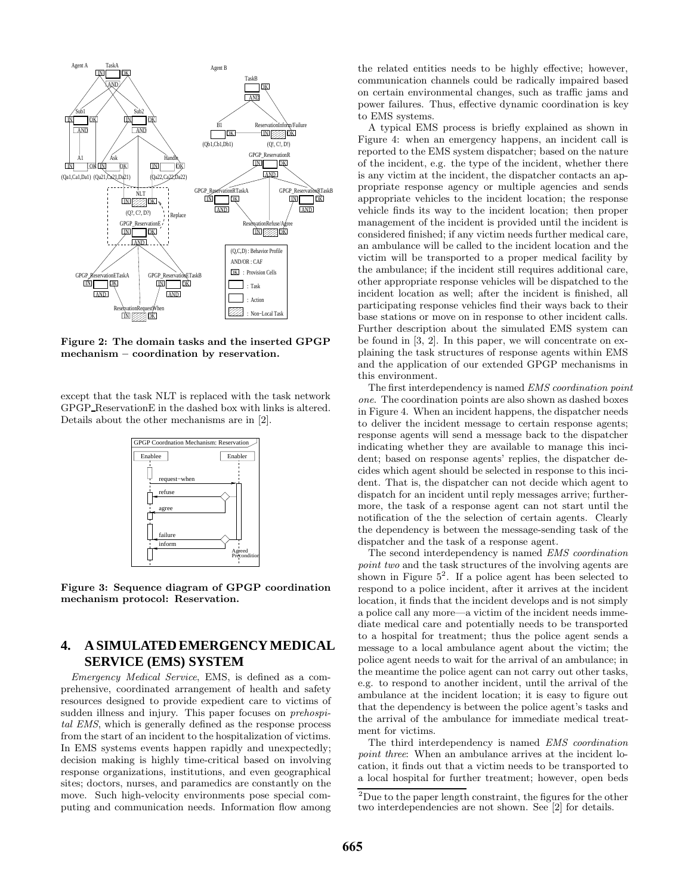

**Figure 2: The domain tasks and the inserted GPGP mechanism – coordination by reservation.**

except that the task NLT is replaced with the task network GPGP ReservationE in the dashed box with links is altered. Details about the other mechanisms are in [2].



**Figure 3: Sequence diagram of GPGP coordination mechanism protocol: Reservation.**

# **4. A SIMULATED EMERGENCY MEDICAL SERVICE (EMS) SYSTEM**

Emergency Medical Service, EMS, is defined as a comprehensive, coordinated arrangement of health and safety resources designed to provide expedient care to victims of sudden illness and injury. This paper focuses on *prehospi*tal EMS, which is generally defined as the response process from the start of an incident to the hospitalization of victims. In EMS systems events happen rapidly and unexpectedly; decision making is highly time-critical based on involving response organizations, institutions, and even geographical sites; doctors, nurses, and paramedics are constantly on the move. Such high-velocity environments pose special computing and communication needs. Information flow among the related entities needs to be highly effective; however, communication channels could be radically impaired based on certain environmental changes, such as traffic jams and power failures. Thus, effective dynamic coordination is key to EMS systems.

A typical EMS process is briefly explained as shown in Figure 4: when an emergency happens, an incident call is reported to the EMS system dispatcher; based on the nature of the incident, e.g. the type of the incident, whether there is any victim at the incident, the dispatcher contacts an appropriate response agency or multiple agencies and sends appropriate vehicles to the incident location; the response vehicle finds its way to the incident location; then proper management of the incident is provided until the incident is considered finished; if any victim needs further medical care, an ambulance will be called to the incident location and the victim will be transported to a proper medical facility by the ambulance; if the incident still requires additional care, other appropriate response vehicles will be dispatched to the incident location as well; after the incident is finished, all participating response vehicles find their ways back to their base stations or move on in response to other incident calls. Further description about the simulated EMS system can be found in [3, 2]. In this paper, we will concentrate on explaining the task structures of response agents within EMS and the application of our extended GPGP mechanisms in this environment.

The first interdependency is named EMS coordination point one. The coordination points are also shown as dashed boxes in Figure 4. When an incident happens, the dispatcher needs to deliver the incident message to certain response agents; response agents will send a message back to the dispatcher indicating whether they are available to manage this incident; based on response agents' replies, the dispatcher decides which agent should be selected in response to this incident. That is, the dispatcher can not decide which agent to dispatch for an incident until reply messages arrive; furthermore, the task of a response agent can not start until the notification of the the selection of certain agents. Clearly the dependency is between the message-sending task of the dispatcher and the task of a response agent.

The second interdependency is named EMS coordination point two and the task structures of the involving agents are shown in Figure  $5<sup>2</sup>$ . If a police agent has been selected to respond to a police incident, after it arrives at the incident location, it finds that the incident develops and is not simply a police call any more—a victim of the incident needs immediate medical care and potentially needs to be transported to a hospital for treatment; thus the police agent sends a message to a local ambulance agent about the victim; the police agent needs to wait for the arrival of an ambulance; in the meantime the police agent can not carry out other tasks, e.g. to respond to another incident, until the arrival of the ambulance at the incident location; it is easy to figure out that the dependency is between the police agent's tasks and the arrival of the ambulance for immediate medical treatment for victims.

The third interdependency is named EMS coordination point three: When an ambulance arrives at the incident location, it finds out that a victim needs to be transported to a local hospital for further treatment; however, open beds

<sup>2</sup>Due to the paper length constraint, the figures for the other two interdependencies are not shown. See [2] for details.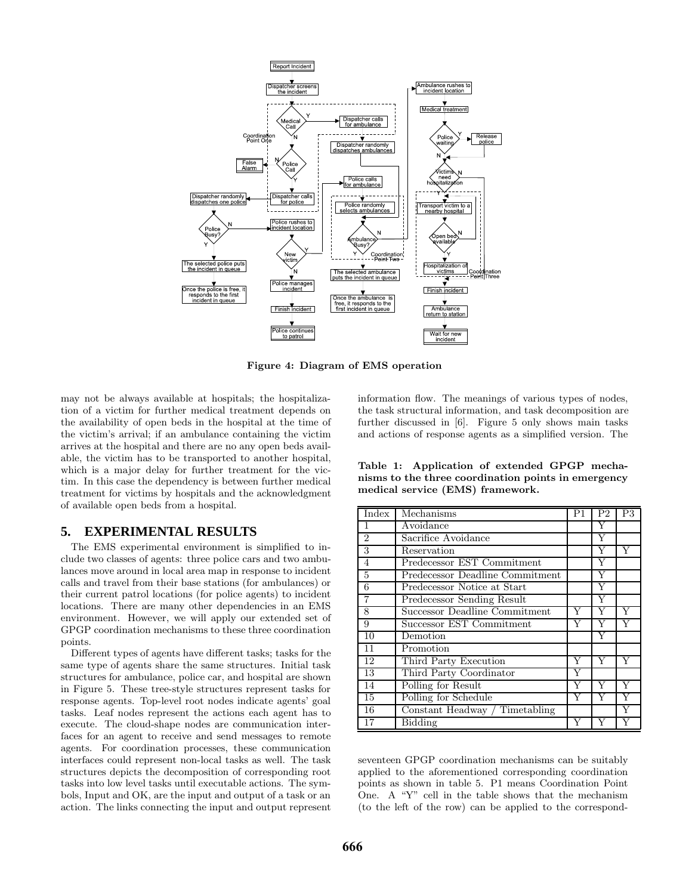

**Figure 4: Diagram of EMS operation**

may not be always available at hospitals; the hospitalization of a victim for further medical treatment depends on the availability of open beds in the hospital at the time of the victim's arrival; if an ambulance containing the victim arrives at the hospital and there are no any open beds available, the victim has to be transported to another hospital, which is a major delay for further treatment for the victim. In this case the dependency is between further medical treatment for victims by hospitals and the acknowledgment of available open beds from a hospital.

## **5. EXPERIMENTAL RESULTS**

The EMS experimental environment is simplified to include two classes of agents: three police cars and two ambulances move around in local area map in response to incident calls and travel from their base stations (for ambulances) or their current patrol locations (for police agents) to incident locations. There are many other dependencies in an EMS environment. However, we will apply our extended set of GPGP coordination mechanisms to these three coordination points.

Different types of agents have different tasks; tasks for the same type of agents share the same structures. Initial task structures for ambulance, police car, and hospital are shown in Figure 5. These tree-style structures represent tasks for response agents. Top-level root nodes indicate agents' goal tasks. Leaf nodes represent the actions each agent has to execute. The cloud-shape nodes are communication interfaces for an agent to receive and send messages to remote agents. For coordination processes, these communication interfaces could represent non-local tasks as well. The task structures depicts the decomposition of corresponding root tasks into low level tasks until executable actions. The symbols, Input and OK, are the input and output of a task or an action. The links connecting the input and output represent

information flow. The meanings of various types of nodes, the task structural information, and task decomposition are further discussed in [6]. Figure 5 only shows main tasks and actions of response agents as a simplified version. The

| Table 1: Application of extended GPGP mecha-        |  |  |
|-----------------------------------------------------|--|--|
| nisms to the three coordination points in emergency |  |  |
| medical service (EMS) framework.                    |  |  |

| Index          | Mechanisms                      | P1 | P <sub>2</sub>          | P3 |
|----------------|---------------------------------|----|-------------------------|----|
| 1              | Avoidance                       |    | Y                       |    |
| $\overline{2}$ | Sacrifice Avoidance             |    | Y                       |    |
| 3              | Reservation                     |    |                         |    |
| 4              | Predecessor EST Commitment      |    | Y                       |    |
| 5              | Predecessor Deadline Commitment |    | Y                       |    |
| 6              | Predecessor Notice at Start     |    | Y                       |    |
| $\overline{7}$ | Predecessor Sending Result      |    | $\overline{\mathsf{Y}}$ |    |
| 8              | Successor Deadline Commitment   | Y  | $\overline{\rm Y}$      | Y  |
| 9              | Successor EST Commitment        | Y  | $\overline{\rm Y}$      |    |
| 10             | Demotion                        |    | Y                       |    |
| 11             | Promotion                       |    |                         |    |
| 12             | Third Party Execution           | Y  | Y                       |    |
| 13             | Third Party Coordinator         | Y  |                         |    |
| 14             | Polling for Result              | Y  | Y                       |    |
| 15             | Polling for Schedule            | Y  | Y                       |    |
| 16             | Constant Headway / Timetabling  |    |                         |    |
| 17             | Bidding                         | Y  |                         |    |

seventeen GPGP coordination mechanisms can be suitably applied to the aforementioned corresponding coordination points as shown in table 5. P1 means Coordination Point One. A "Y" cell in the table shows that the mechanism (to the left of the row) can be applied to the correspond-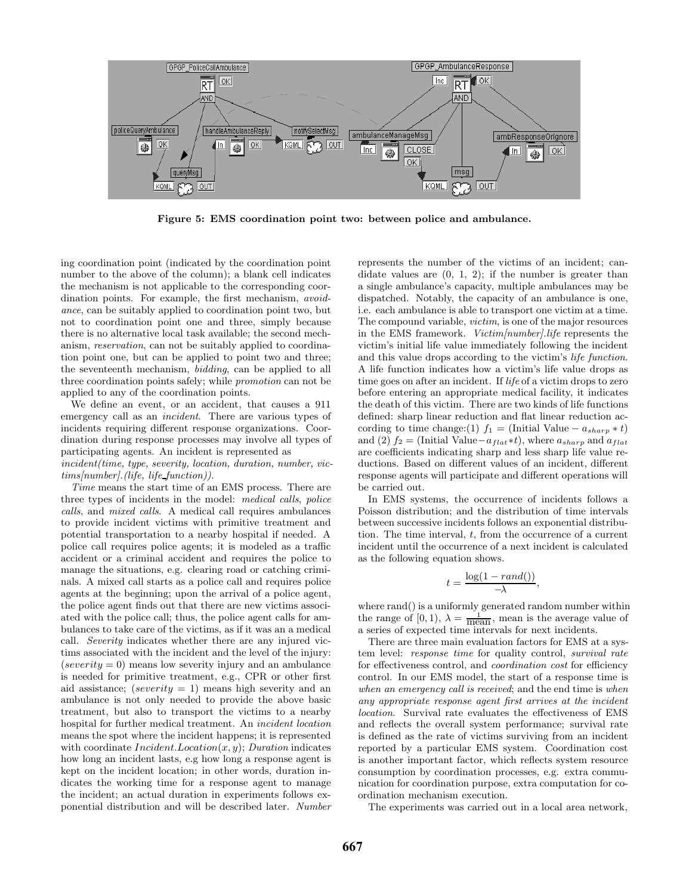

**Figure 5: EMS coordination point two: between police and ambulance.**

ing coordination point (indicated by the coordination point number to the above of the column); a blank cell indicates the mechanism is not applicable to the corresponding coordination points. For example, the first mechanism, *avoid*ance, can be suitably applied to coordination point two, but not to coordination point one and three, simply because there is no alternative local task available; the second mechanism, reservation, can not be suitably applied to coordination point one, but can be applied to point two and three; the seventeenth mechanism, bidding, can be applied to all three coordination points safely; while promotion can not be applied to any of the coordination points.

We define an event, or an accident, that causes a 911 emergency call as an incident. There are various types of incidents requiring different response organizations. Coordination during response processes may involve all types of participating agents. An incident is represented as

incident(time, type, severity, location, duration, number, victims[number].(life, life function)).

Time means the start time of an EMS process. There are three types of incidents in the model: medical calls, police calls, and mixed calls. A medical call requires ambulances to provide incident victims with primitive treatment and potential transportation to a nearby hospital if needed. A police call requires police agents; it is modeled as a traffic accident or a criminal accident and requires the police to manage the situations, e.g. clearing road or catching criminals. A mixed call starts as a police call and requires police agents at the beginning; upon the arrival of a police agent, the police agent finds out that there are new victims associated with the police call; thus, the police agent calls for ambulances to take care of the victims, as if it was an a medical call. Severity indicates whether there are any injured victims associated with the incident and the level of the injury:  $(severify = 0)$  means low severity injury and an ambulance is needed for primitive treatment, e.g., CPR or other first aid assistance; (severity = 1) means high severity and an ambulance is not only needed to provide the above basic treatment, but also to transport the victims to a nearby hospital for further medical treatment. An *incident location* means the spot where the incident happens; it is represented with coordinate  $Incident.Location(x, y)$ ; Duration indicates how long an incident lasts, e.g how long a response agent is kept on the incident location; in other words, duration indicates the working time for a response agent to manage the incident; an actual duration in experiments follows exponential distribution and will be described later. Number represents the number of the victims of an incident; candidate values are  $(0, 1, 2)$ ; if the number is greater than a single ambulance's capacity, multiple ambulances may be dispatched. Notably, the capacity of an ambulance is one, i.e. each ambulance is able to transport one victim at a time. The compound variable, victim, is one of the major resources in the EMS framework. Victim/number].life represents the victim's initial life value immediately following the incident and this value drops according to the victim's life function. A life function indicates how a victim's life value drops as time goes on after an incident. If life of a victim drops to zero before entering an appropriate medical facility, it indicates the death of this victim. There are two kinds of life functions defined: sharp linear reduction and flat linear reduction according to time change:(1)  $f_1 = (Initial Value - a_{sharp} * t)$ and (2)  $f_2 = (Initial Value - a_{flat} * t)$ , where  $a_{sharp}$  and  $a_{flat}$ are coefficients indicating sharp and less sharp life value reductions. Based on different values of an incident, different response agents will participate and different operations will be carried out.

In EMS systems, the occurrence of incidents follows a Poisson distribution; and the distribution of time intervals between successive incidents follows an exponential distribution. The time interval,  $t$ , from the occurrence of a current incident until the occurrence of a next incident is calculated as the following equation shows.

$$
t = \frac{\log(1 - rand())}{-\lambda},
$$

where rand() is a uniformly generated random number within the range of [0, 1),  $\lambda = \frac{1}{\text{mean}}$ , mean is the average value of a series of expected time intervals for next incidents.

There are three main evaluation factors for EMS at a system level: response time for quality control, survival rate for effectiveness control, and coordination cost for efficiency control. In our EMS model, the start of a response time is when an emergency call is received; and the end time is when any appropriate response agent first arrives at the incident location. Survival rate evaluates the effectiveness of EMS and reflects the overall system performance; survival rate is defined as the rate of victims surviving from an incident reported by a particular EMS system. Coordination cost is another important factor, which reflects system resource consumption by coordination processes, e.g. extra communication for coordination purpose, extra computation for coordination mechanism execution.

The experiments was carried out in a local area network,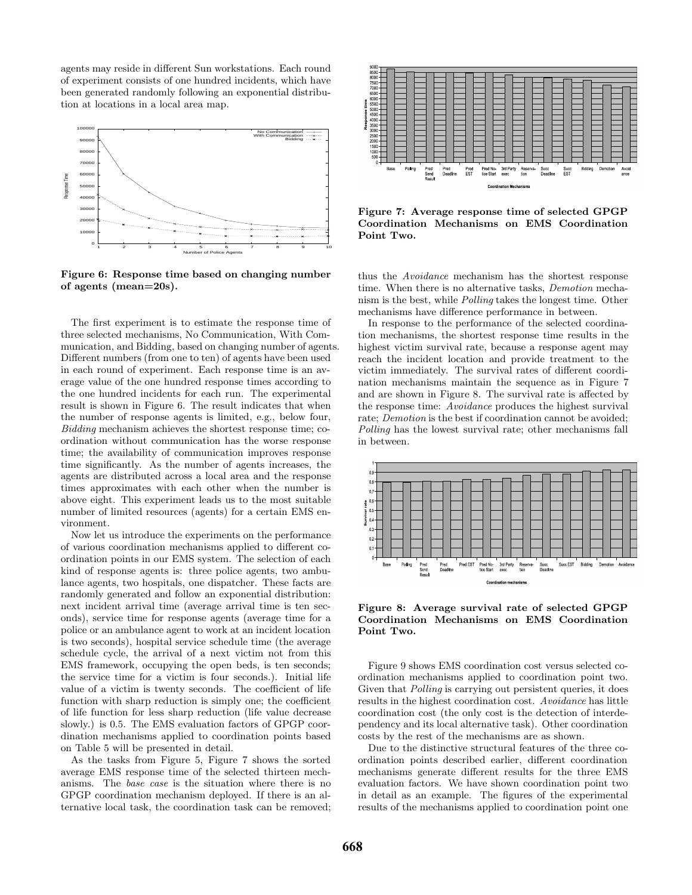agents may reside in different Sun workstations. Each round of experiment consists of one hundred incidents, which have been generated randomly following an exponential distribution at locations in a local area map.



**Figure 6: Response time based on changing number of agents (mean=20s).**

The first experiment is to estimate the response time of three selected mechanisms, No Communication, With Communication, and Bidding, based on changing number of agents. Different numbers (from one to ten) of agents have been used in each round of experiment. Each response time is an average value of the one hundred response times according to the one hundred incidents for each run. The experimental result is shown in Figure 6. The result indicates that when the number of response agents is limited, e.g., below four, Bidding mechanism achieves the shortest response time; coordination without communication has the worse response time; the availability of communication improves response time significantly. As the number of agents increases, the agents are distributed across a local area and the response times approximates with each other when the number is above eight. This experiment leads us to the most suitable number of limited resources (agents) for a certain EMS environment.

Now let us introduce the experiments on the performance of various coordination mechanisms applied to different coordination points in our EMS system. The selection of each kind of response agents is: three police agents, two ambulance agents, two hospitals, one dispatcher. These facts are randomly generated and follow an exponential distribution: next incident arrival time (average arrival time is ten seconds), service time for response agents (average time for a police or an ambulance agent to work at an incident location is two seconds), hospital service schedule time (the average schedule cycle, the arrival of a next victim not from this EMS framework, occupying the open beds, is ten seconds; the service time for a victim is four seconds.). Initial life value of a victim is twenty seconds. The coefficient of life function with sharp reduction is simply one; the coefficient of life function for less sharp reduction (life value decrease slowly.) is 0.5. The EMS evaluation factors of GPGP coordination mechanisms applied to coordination points based on Table 5 will be presented in detail.

As the tasks from Figure 5, Figure 7 shows the sorted average EMS response time of the selected thirteen mechanisms. The base case is the situation where there is no GPGP coordination mechanism deployed. If there is an alternative local task, the coordination task can be removed;



**Figure 7: Average response time of selected GPGP Coordination Mechanisms on EMS Coordination Point Two.**

thus the Avoidance mechanism has the shortest response time. When there is no alternative tasks, *Demotion* mechanism is the best, while Polling takes the longest time. Other mechanisms have difference performance in between.

In response to the performance of the selected coordination mechanisms, the shortest response time results in the highest victim survival rate, because a response agent may reach the incident location and provide treatment to the victim immediately. The survival rates of different coordination mechanisms maintain the sequence as in Figure 7 and are shown in Figure 8. The survival rate is affected by the response time: Avoidance produces the highest survival rate; *Demotion* is the best if coordination cannot be avoided; Polling has the lowest survival rate; other mechanisms fall in between.



**Figure 8: Average survival rate of selected GPGP Coordination Mechanisms on EMS Coordination Point Two.**

Figure 9 shows EMS coordination cost versus selected coordination mechanisms applied to coordination point two. Given that *Polling* is carrying out persistent queries, it does results in the highest coordination cost. Avoidance has little coordination cost (the only cost is the detection of interdependency and its local alternative task). Other coordination costs by the rest of the mechanisms are as shown.

Due to the distinctive structural features of the three coordination points described earlier, different coordination mechanisms generate different results for the three EMS evaluation factors. We have shown coordination point two in detail as an example. The figures of the experimental results of the mechanisms applied to coordination point one